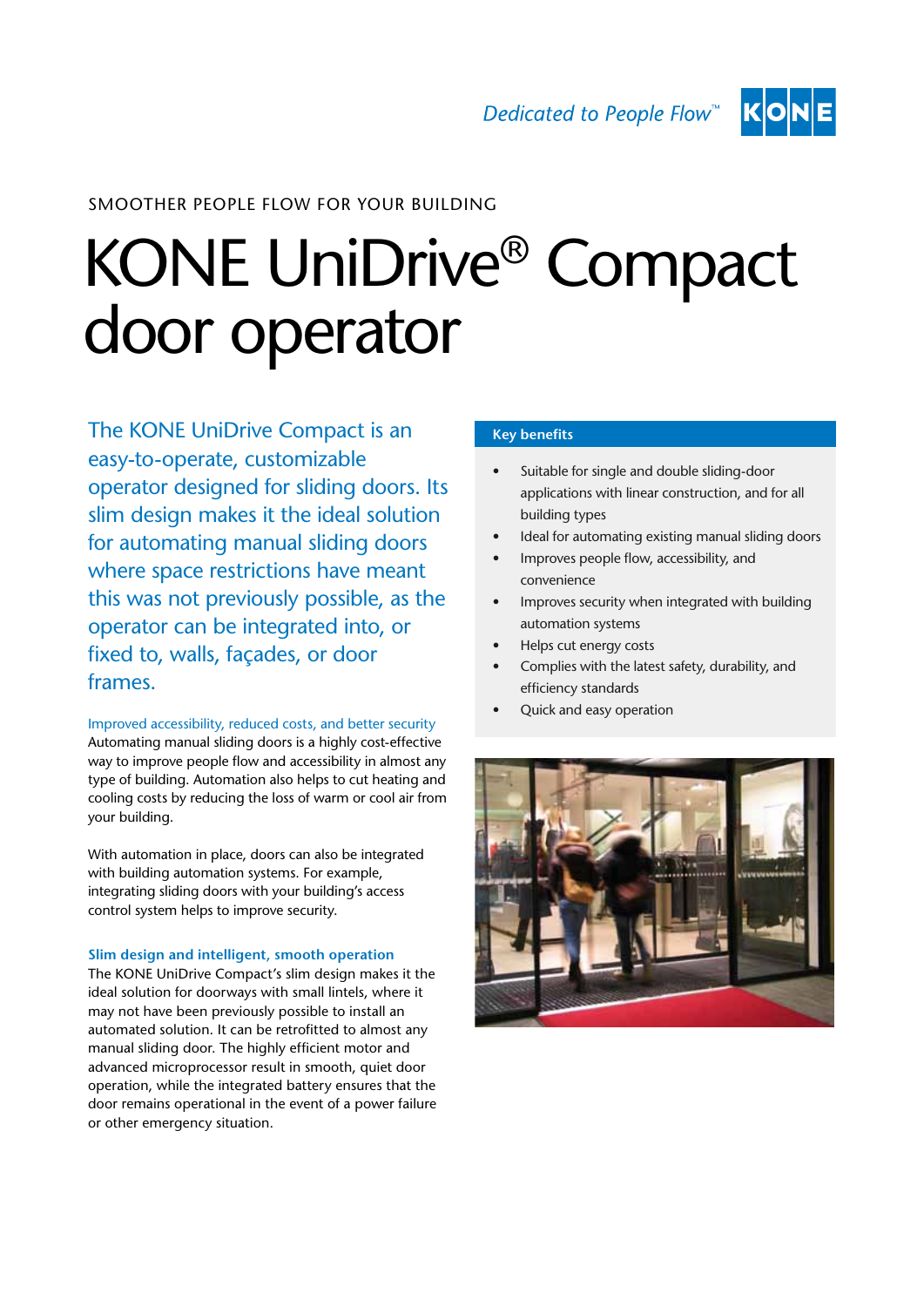

## Smoother people flow for your building

# KONE UniDrive® Compact door operator

The KONE UniDrive Compact is an easy-to-operate, customizable operator designed for sliding doors. Its slim design makes it the ideal solution for automating manual sliding doors where space restrictions have meant this was not previously possible, as the operator can be integrated into, or fixed to, walls, façades, or door frames.

Improved accessibility, reduced costs, and better security Automating manual sliding doors is a highly cost-effective way to improve people flow and accessibility in almost any type of building. Automation also helps to cut heating and cooling costs by reducing the loss of warm or cool air from your building.

With automation in place, doors can also be integrated with building automation systems. For example, integrating sliding doors with your building's access control system helps to improve security.

#### **Slim design and intelligent, smooth operation**

The KONE UniDrive Compact's slim design makes it the ideal solution for doorways with small lintels, where it may not have been previously possible to install an automated solution. It can be retrofitted to almost any manual sliding door. The highly efficient motor and advanced microprocessor result in smooth, quiet door operation, while the integrated battery ensures that the door remains operational in the event of a power failure or other emergency situation.

### **Key benefits**

- Suitable for single and double sliding-door applications with linear construction, and for all building types
- Ideal for automating existing manual sliding doors
- Improves people flow, accessibility, and convenience
- Improves security when integrated with building automation systems
- Helps cut energy costs
- Complies with the latest safety, durability, and efficiency standards
- Quick and easy operation